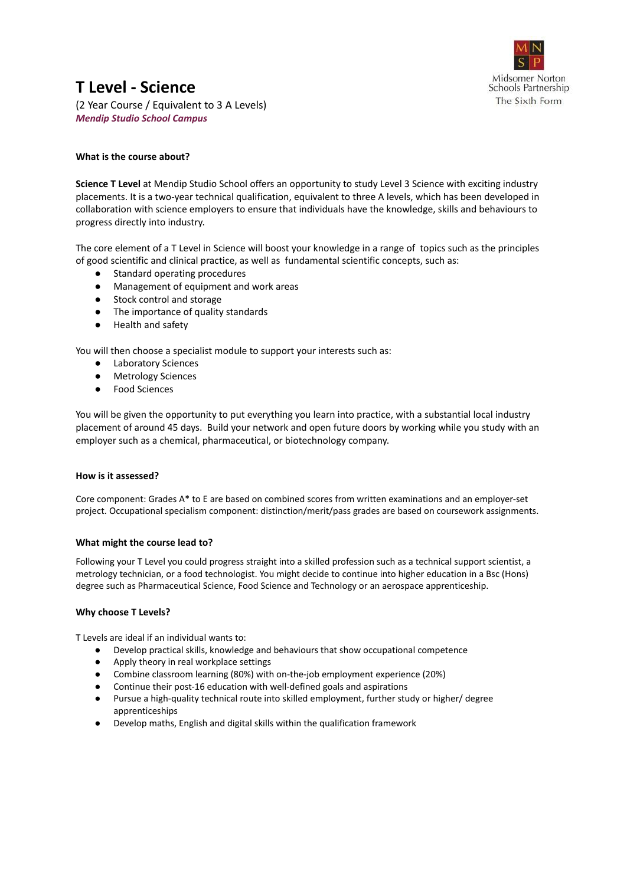

## **T Level - Science**

(2 Year Course / Equivalent to 3 A Levels) *Mendip Studio School Campus*

### **What is the course about?**

**Science T Level** at Mendip Studio School offers an opportunity to study Level 3 Science with exciting industry placements. It is a two-year technical qualification, equivalent to three A levels, which has been developed in collaboration with science employers to ensure that individuals have the knowledge, skills and behaviours to progress directly into industry.

The core element of a T Level in Science will boost your knowledge in a range of topics such as the principles of good scientific and clinical practice, as well as fundamental scientific concepts, such as:

- Standard operating procedures
- Management of equipment and work areas
- Stock control and storage
- The importance of quality standards
- Health and safety

You will then choose a specialist module to support your interests such as:

- **Laboratory Sciences**
- Metrology Sciences
- Food Sciences

You will be given the opportunity to put everything you learn into practice, with a substantial local industry placement of around 45 days. Build your network and open future doors by working while you study with an employer such as a chemical, pharmaceutical, or biotechnology company.

### **How is it assessed?**

Core component: Grades A\* to E are based on combined scores from written examinations and an employer-set project. Occupational specialism component: distinction/merit/pass grades are based on coursework assignments.

### **What might the course lead to?**

Following your T Level you could progress straight into a skilled profession such as a technical support scientist, a metrology technician, or a food technologist. You might decide to continue into higher education in a Bsc (Hons) degree such as Pharmaceutical Science, Food Science and Technology or an aerospace apprenticeship.

### **Why choose T Levels?**

T Levels are ideal if an individual wants to:

- Develop practical skills, knowledge and behaviours that show occupational competence
- Apply theory in real workplace settings
- Combine classroom learning (80%) with on-the-job employment experience (20%)
- Continue their post-16 education with well-defined goals and aspirations
- Pursue a high-quality technical route into skilled employment, further study or higher/ degree apprenticeships
- Develop maths, English and digital skills within the qualification framework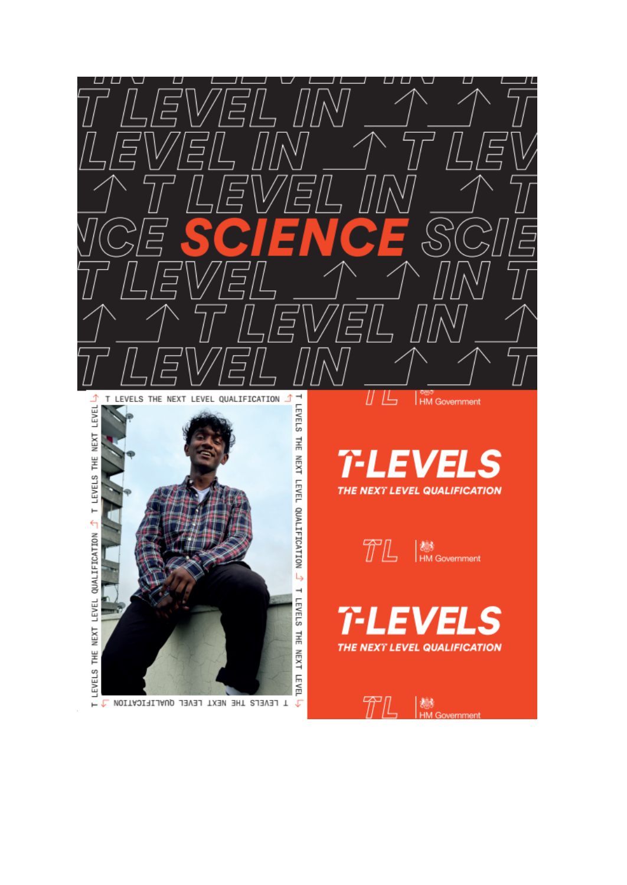